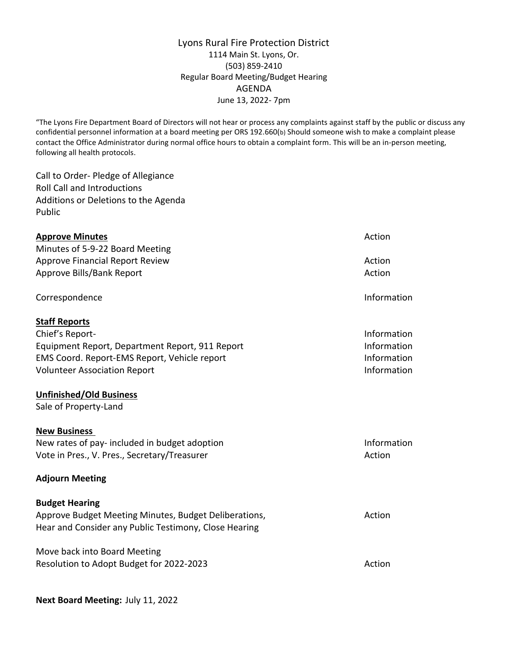## Lyons Rural Fire Protection District 1114 Main St. Lyons, Or. (503) 859-2410 Regular Board Meeting/Budget Hearing AGENDA June 13, 2022- 7pm

"The Lyons Fire Department Board of Directors will not hear or process any complaints against staff by the public or discuss any confidential personnel information at a board meeting per ORS 192.660(b) Should someone wish to make a complaint please contact the Office Administrator during normal office hours to obtain a complaint form. This will be an in-person meeting, following all health protocols.

Call to Order- Pledge of Allegiance Roll Call and Introductions Additions or Deletions to the Agenda Public

| <b>Approve Minutes</b>                                | Action      |
|-------------------------------------------------------|-------------|
| Minutes of 5-9-22 Board Meeting                       |             |
| <b>Approve Financial Report Review</b>                | Action      |
| Approve Bills/Bank Report                             | Action      |
| Correspondence                                        | Information |
| <b>Staff Reports</b>                                  |             |
| Chief's Report-                                       | Information |
| Equipment Report, Department Report, 911 Report       | Information |
| EMS Coord. Report-EMS Report, Vehicle report          | Information |
| <b>Volunteer Association Report</b>                   | Information |
| <b>Unfinished/Old Business</b>                        |             |
| Sale of Property-Land                                 |             |
| <b>New Business</b>                                   |             |
| New rates of pay- included in budget adoption         | Information |
| Vote in Pres., V. Pres., Secretary/Treasurer          | Action      |
| <b>Adjourn Meeting</b>                                |             |
| <b>Budget Hearing</b>                                 |             |
| Approve Budget Meeting Minutes, Budget Deliberations, | Action      |
| Hear and Consider any Public Testimony, Close Hearing |             |
| Move back into Board Meeting                          |             |
| Resolution to Adopt Budget for 2022-2023              | Action      |
|                                                       |             |